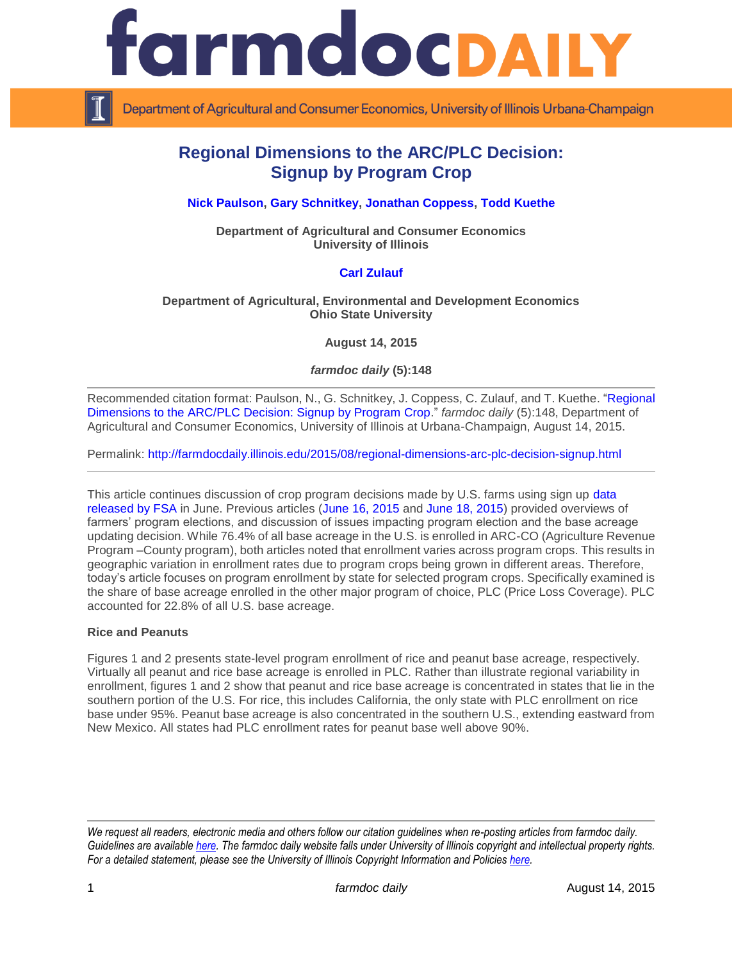

Department of Agricultural and Consumer Economics, University of Illinois Urbana-Champaign

# **Regional Dimensions to the ARC/PLC Decision: Signup by Program Crop**

# **[Nick Paulson,](http://farmdoc.illinois.edu/paulson) [Gary Schnitkey,](http://farmdoc.illinois.edu/schnitkey/) [Jonathan Coppess,](http://farmdoc.illinois.edu/coppess) [Todd Kuethe](http://farmdoc.illinois.edu/kuethe)**

**Department of Agricultural and Consumer Economics University of Illinois**

# **[Carl Zulauf](http://aede.osu.edu/our-people/carl-zulauf)**

### **Department of Agricultural, Environmental and Development Economics Ohio State University**

**August 14, 2015**

*farmdoc daily* **(5):148**

Recommended citation format: Paulson, N., G. Schnitkey, J. Coppess, C. Zulauf, and T. Kuethe. ["Regional](http://farmdocdaily.illinois.edu/2015/08/regional-dimensions-arc-plc-decision-signup.html)  [Dimensions to the ARC/PLC Decision: Signup by Program Crop.](http://farmdocdaily.illinois.edu/2015/08/regional-dimensions-arc-plc-decision-signup.html)" *farmdoc daily* (5):148, Department of Agricultural and Consumer Economics, University of Illinois at Urbana-Champaign, August 14, 2015.

Permalink:<http://farmdocdaily.illinois.edu/2015/08/regional-dimensions-arc-plc-decision-signup.html>

This article continues discussion of crop program decisions made by U.S. farms using sign up data [released by FSA](http://www.fsa.usda.gov/programs-and-services/arcplc_program/index) in June. Previous articles [\(June 16, 2015](http://farmdocdaily.illinois.edu/2015/06/perspectives-on-commodity-program-choices.html) and [June 18, 2015\)](http://farmdocdaily.illinois.edu/2015/06/2014-farm-bill-crop-program-election-part2.html) provided overviews of farmers' program elections, and discussion of issues impacting program election and the base acreage updating decision. While 76.4% of all base acreage in the U.S. is enrolled in ARC-CO (Agriculture Revenue Program –County program), both articles noted that enrollment varies across program crops. This results in geographic variation in enrollment rates due to program crops being grown in different areas. Therefore, today's article focuses on program enrollment by state for selected program crops. Specifically examined is the share of base acreage enrolled in the other major program of choice, PLC (Price Loss Coverage). PLC accounted for 22.8% of all U.S. base acreage.

### **Rice and Peanuts**

Figures 1 and 2 presents state-level program enrollment of rice and peanut base acreage, respectively. Virtually all peanut and rice base acreage is enrolled in PLC. Rather than illustrate regional variability in enrollment, figures 1 and 2 show that peanut and rice base acreage is concentrated in states that lie in the southern portion of the U.S. For rice, this includes California, the only state with PLC enrollment on rice base under 95%. Peanut base acreage is also concentrated in the southern U.S., extending eastward from New Mexico. All states had PLC enrollment rates for peanut base well above 90%.

*We request all readers, electronic media and others follow our citation guidelines when re-posting articles from farmdoc daily. Guidelines are available [here.](http://farmdocdaily.illinois.edu/citationguide.html) The farmdoc daily website falls under University of Illinois copyright and intellectual property rights. For a detailed statement, please see the University of Illinois Copyright Information and Policies [here.](http://www.cio.illinois.edu/policies/copyright/)*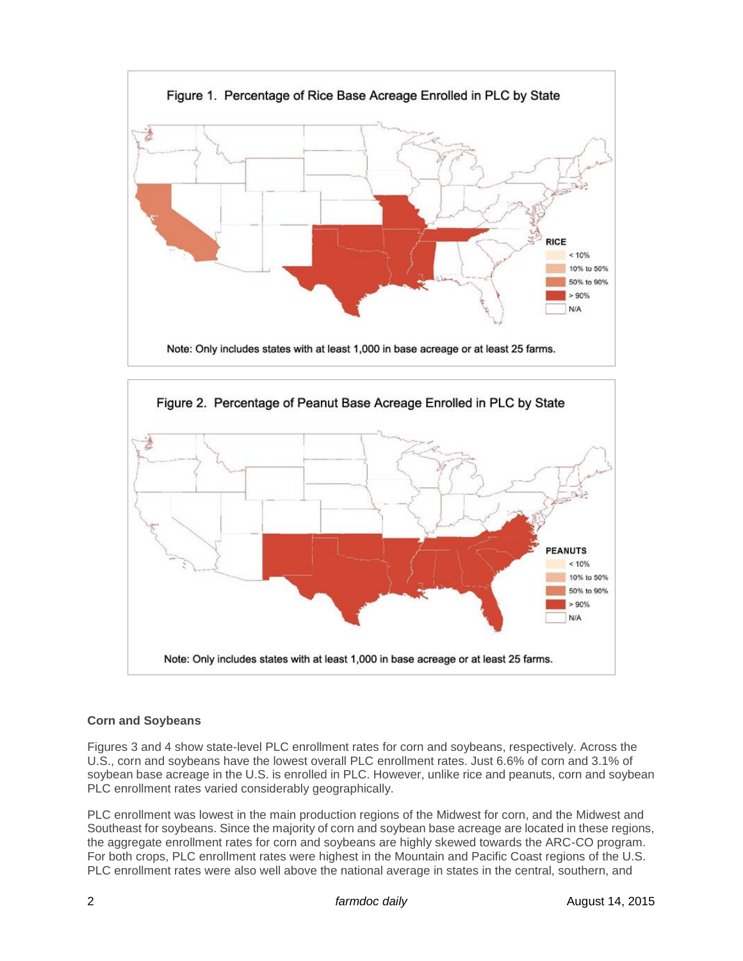



# **Corn and Soybeans**

Figures 3 and 4 show state-level PLC enrollment rates for corn and soybeans, respectively. Across the U.S., corn and soybeans have the lowest overall PLC enrollment rates. Just 6.6% of corn and 3.1% of soybean base acreage in the U.S. is enrolled in PLC. However, unlike rice and peanuts, corn and soybean PLC enrollment rates varied considerably geographically.

PLC enrollment was lowest in the main production regions of the Midwest for corn, and the Midwest and Southeast for soybeans. Since the majority of corn and soybean base acreage are located in these regions, the aggregate enrollment rates for corn and soybeans are highly skewed towards the ARC-CO program. For both crops, PLC enrollment rates were highest in the Mountain and Pacific Coast regions of the U.S. PLC enrollment rates were also well above the national average in states in the central, southern, and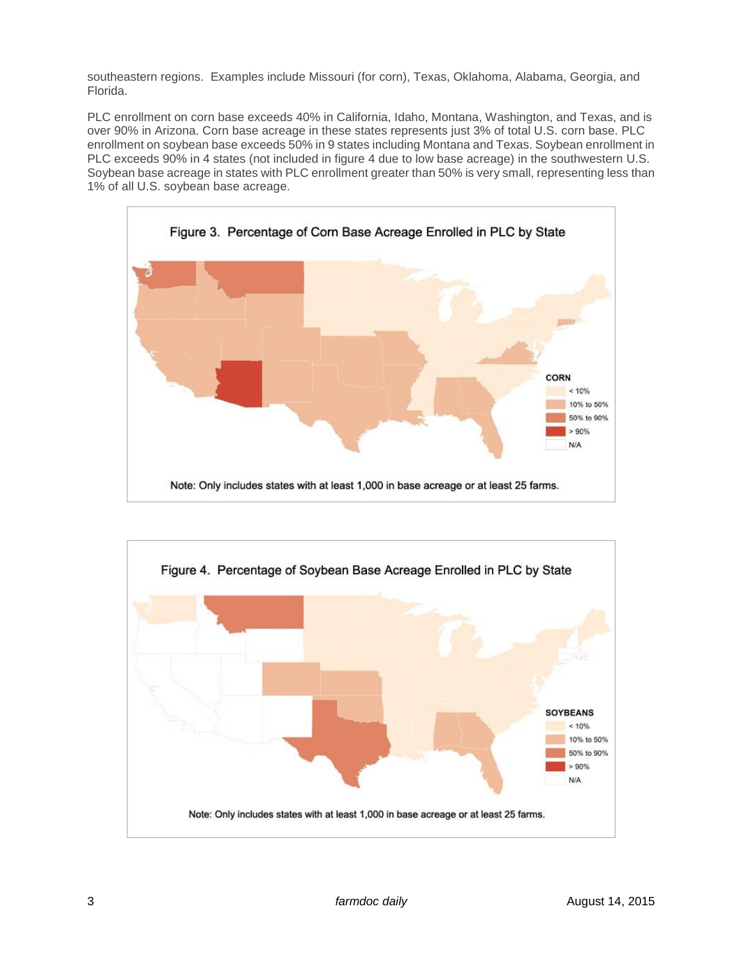southeastern regions. Examples include Missouri (for corn), Texas, Oklahoma, Alabama, Georgia, and Florida.

PLC enrollment on corn base exceeds 40% in California, Idaho, Montana, Washington, and Texas, and is over 90% in Arizona. Corn base acreage in these states represents just 3% of total U.S. corn base. PLC enrollment on soybean base exceeds 50% in 9 states including Montana and Texas. Soybean enrollment in PLC exceeds 90% in 4 states (not included in figure 4 due to low base acreage) in the southwestern U.S. Soybean base acreage in states with PLC enrollment greater than 50% is very small, representing less than 1% of all U.S. soybean base acreage.



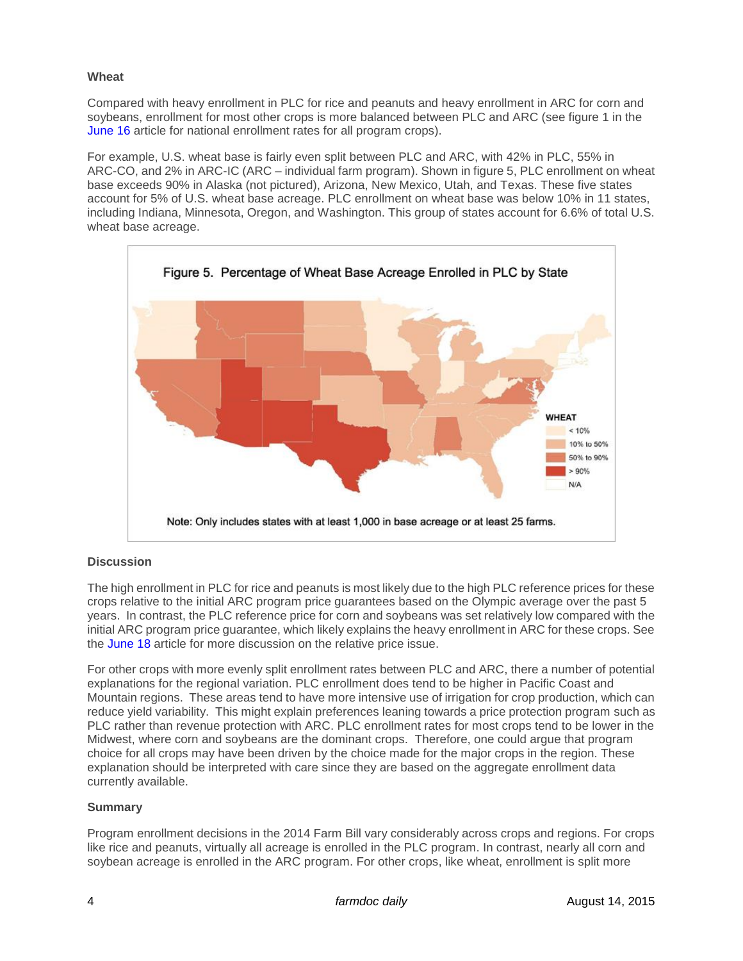### **Wheat**

Compared with heavy enrollment in PLC for rice and peanuts and heavy enrollment in ARC for corn and soybeans, enrollment for most other crops is more balanced between PLC and ARC (see figure 1 in the [June 16](http://farmdocdaily.illinois.edu/2015/06/perspectives-on-commodity-program-choices.html) article for national enrollment rates for all program crops).

For example, U.S. wheat base is fairly even split between PLC and ARC, with 42% in PLC, 55% in ARC-CO, and 2% in ARC-IC (ARC – individual farm program). Shown in figure 5, PLC enrollment on wheat base exceeds 90% in Alaska (not pictured), Arizona, New Mexico, Utah, and Texas. These five states account for 5% of U.S. wheat base acreage. PLC enrollment on wheat base was below 10% in 11 states, including Indiana, Minnesota, Oregon, and Washington. This group of states account for 6.6% of total U.S. wheat base acreage.



### **Discussion**

The high enrollment in PLC for rice and peanuts is most likely due to the high PLC reference prices for these crops relative to the initial ARC program price guarantees based on the Olympic average over the past 5 years. In contrast, the PLC reference price for corn and soybeans was set relatively low compared with the initial ARC program price guarantee, which likely explains the heavy enrollment in ARC for these crops. See the [June 18](http://farmdocdaily.illinois.edu/2015/06/2014-farm-bill-crop-program-election-part2.html) article for more discussion on the relative price issue.

For other crops with more evenly split enrollment rates between PLC and ARC, there a number of potential explanations for the regional variation. PLC enrollment does tend to be higher in Pacific Coast and Mountain regions. These areas tend to have more intensive use of irrigation for crop production, which can reduce yield variability. This might explain preferences leaning towards a price protection program such as PLC rather than revenue protection with ARC. PLC enrollment rates for most crops tend to be lower in the Midwest, where corn and soybeans are the dominant crops. Therefore, one could argue that program choice for all crops may have been driven by the choice made for the major crops in the region. These explanation should be interpreted with care since they are based on the aggregate enrollment data currently available.

# **Summary**

Program enrollment decisions in the 2014 Farm Bill vary considerably across crops and regions. For crops like rice and peanuts, virtually all acreage is enrolled in the PLC program. In contrast, nearly all corn and soybean acreage is enrolled in the ARC program. For other crops, like wheat, enrollment is split more